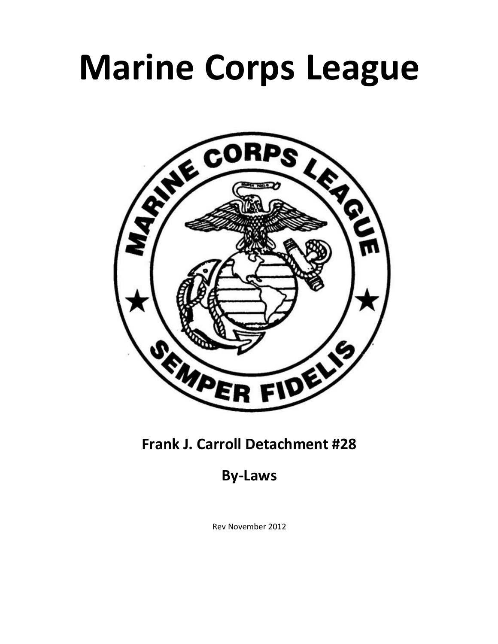# **Marine Corps League**



## **Frank J. Carroll Detachment #28**

**By-Laws**

Rev November 2012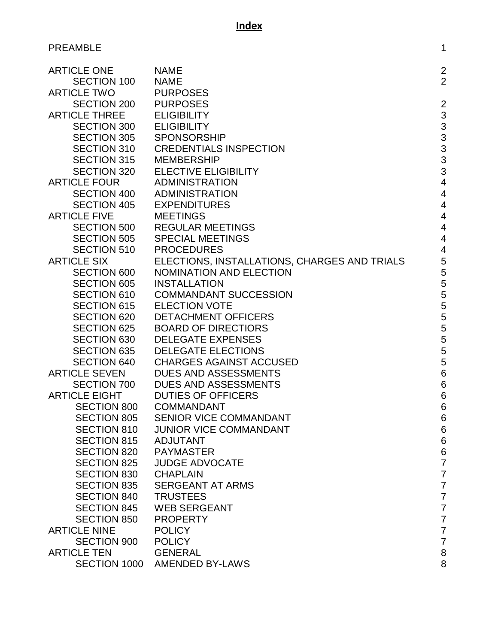## PREAMBLE 2012 12:00 12:00 12:00 12:00 12:00 12:00 12:00 12:00 12:00 12:00 12:00 12:00 12:00 12:00 12:00 12:00 12:00 12:00 12:00 12:00 12:00 12:00 12:00 12:00 12:00 12:00 12:00 12:00 12:00 12:00 12:00 12:00 12:00 12:00 12:0

| <b>ARTICLE ONE</b>   | <b>NAME</b>                                  | $\overline{c}$  |
|----------------------|----------------------------------------------|-----------------|
| <b>SECTION 100</b>   | <b>NAME</b>                                  | $\overline{2}$  |
| <b>ARTICLE TWO</b>   | <b>PURPOSES</b>                              |                 |
| SECTION 200          | <b>PURPOSES</b>                              | $\overline{2}$  |
| <b>ARTICLE THREE</b> | <b>ELIGIBILITY</b>                           | 3               |
| <b>SECTION 300</b>   | <b>ELIGIBILITY</b>                           | 3               |
| <b>SECTION 305</b>   | <b>SPONSORSHIP</b>                           | 3               |
| <b>SECTION 310</b>   | <b>CREDENTIALS INSPECTION</b>                | 3               |
| <b>SECTION 315</b>   | MEMBERSHIP                                   | 3               |
| <b>SECTION 320</b>   | <b>ELECTIVE ELIGIBILITY</b>                  | 3               |
| <b>ARTICLE FOUR</b>  | <b>ADMINISTRATION</b>                        | $\overline{4}$  |
| <b>SECTION 400</b>   | ADMINISTRATION                               | $\overline{4}$  |
| <b>SECTION 405</b>   | <b>EXPENDITURES</b>                          | $\overline{4}$  |
| <b>ARTICLE FIVE</b>  | <b>MEETINGS</b>                              | $\overline{4}$  |
| <b>SECTION 500</b>   | <b>REGULAR MEETINGS</b>                      | $\overline{4}$  |
|                      | SECTION 505 SPECIAL MEETINGS                 | $\overline{4}$  |
| <b>SECTION 510</b>   | <b>PROCEDURES</b>                            | $\overline{4}$  |
| <b>ARTICLE SIX</b>   | ELECTIONS, INSTALLATIONS, CHARGES AND TRIALS | 5               |
| <b>SECTION 600</b>   | <b>NOMINATION AND ELECTION</b>               | 5               |
| <b>SECTION 605</b>   | <b>INSTALLATION</b>                          | 5               |
| <b>SECTION 610</b>   | <b>COMMANDANT SUCCESSION</b>                 | 5               |
| <b>SECTION 615</b>   | <b>ELECTION VOTE</b>                         | 5               |
| <b>SECTION 620</b>   | <b>DETACHMENT OFFICERS</b>                   | 5               |
| <b>SECTION 625</b>   | <b>BOARD OF DIRECTIORS</b>                   | 5               |
| <b>SECTION 630</b>   | <b>DELEGATE EXPENSES</b>                     | 5               |
| <b>SECTION 635</b>   | <b>DELEGATE ELECTIONS</b>                    | 5               |
| <b>SECTION 640</b>   | <b>CHARGES AGAINST ACCUSED</b>               | 5               |
| <b>ARTICLE SEVEN</b> | DUES AND ASSESSMENTS                         | $6\phantom{1}6$ |
| <b>SECTION 700</b>   | DUES AND ASSESSMENTS                         | $6\phantom{a}$  |
| <b>ARTICLE EIGHT</b> | <b>DUTIES OF OFFICERS</b>                    | $6\phantom{a}$  |
| <b>SECTION 800</b>   | <b>COMMANDANT</b>                            | 6               |
| <b>SECTION 805</b>   | SENIOR VICE COMMANDANT                       | 6               |
| <b>SECTION 810</b>   | <b>JUNIOR VICE COMMANDANT</b>                | 6               |
| <b>SECTION 815</b>   | <b>ADJUTANT</b>                              | 6               |
| <b>SECTION 820</b>   | <b>PAYMASTER</b>                             | 6               |
| <b>SECTION 825</b>   | <b>JUDGE ADVOCATE</b>                        | 7               |
| <b>SECTION 830</b>   | <b>CHAPLAIN</b>                              | 7               |
| <b>SECTION 835</b>   | <b>SERGEANT AT ARMS</b>                      | 7               |
| <b>SECTION 840</b>   | <b>TRUSTEES</b>                              | 7               |
| <b>SECTION 845</b>   | <b>WEB SERGEANT</b>                          | $\overline{7}$  |
| <b>SECTION 850</b>   | <b>PROPERTY</b>                              | 7               |
| <b>ARTICLE NINE</b>  | <b>POLICY</b>                                | 7               |
| <b>SECTION 900</b>   | <b>POLICY</b>                                | $\overline{7}$  |
| <b>ARTICLE TEN</b>   | <b>GENERAL</b>                               | 8               |
| SECTION 1000         | <b>AMENDED BY-LAWS</b>                       | 8               |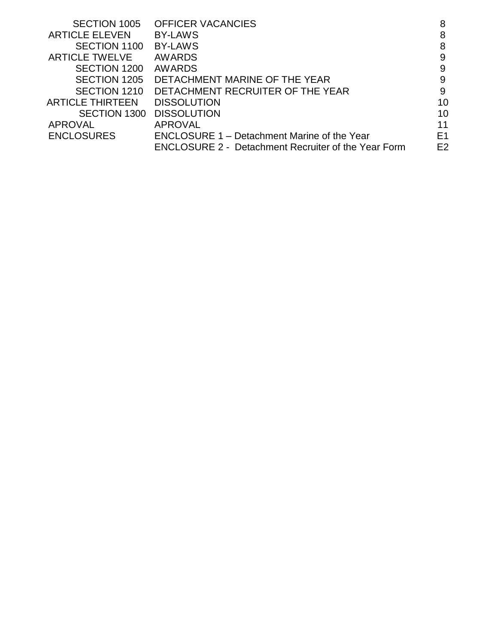| SECTION 1005            | <b>OFFICER VACANCIES</b>                                   | 8              |
|-------------------------|------------------------------------------------------------|----------------|
| <b>ARTICLE ELEVEN</b>   | <b>BY-LAWS</b>                                             | 8              |
| SECTION 1100            | <b>BY-LAWS</b>                                             | 8              |
| <b>ARTICLE TWELVE</b>   | <b>AWARDS</b>                                              | 9              |
| SECTION 1200            | <b>AWARDS</b>                                              | 9              |
| SECTION 1205            | DETACHMENT MARINE OF THE YEAR                              | 9              |
| SECTION 1210            | DETACHMENT RECRUITER OF THE YEAR                           | 9              |
| <b>ARTICLE THIRTEEN</b> | <b>DISSOLUTION</b>                                         | 10             |
| SECTION 1300            | <b>DISSOLUTION</b>                                         | 10             |
| APROVAL                 | <b>APROVAL</b>                                             | 11             |
| <b>ENCLOSURES</b>       | <b>ENCLOSURE 1 – Detachment Marine of the Year</b>         | E <sub>1</sub> |
|                         | <b>ENCLOSURE 2 - Detachment Recruiter of the Year Form</b> | E <sub>2</sub> |
|                         |                                                            |                |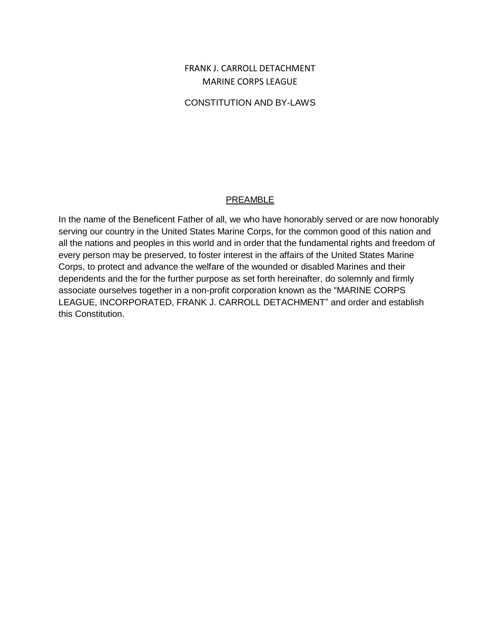## FRANK J. CARROLL DETACHMENT MARINE CORPS LEAGUE

## CONSTITUTION AND BY-LAWS

### PREAMBLE

In the name of the Beneficent Father of all, we who have honorably served or are now honorably serving our country in the United States Marine Corps, for the common good of this nation and all the nations and peoples in this world and in order that the fundamental rights and freedom of every person may be preserved, to foster interest in the affairs of the United States Marine Corps, to protect and advance the welfare of the wounded or disabled Marines and their dependents and the for the further purpose as set forth hereinafter, do solemnly and firmly associate ourselves together in a non-profit corporation known as the "MARINE CORPS LEAGUE, INCORPORATED, FRANK J. CARROLL DETACHMENT" and order and establish this Constitution.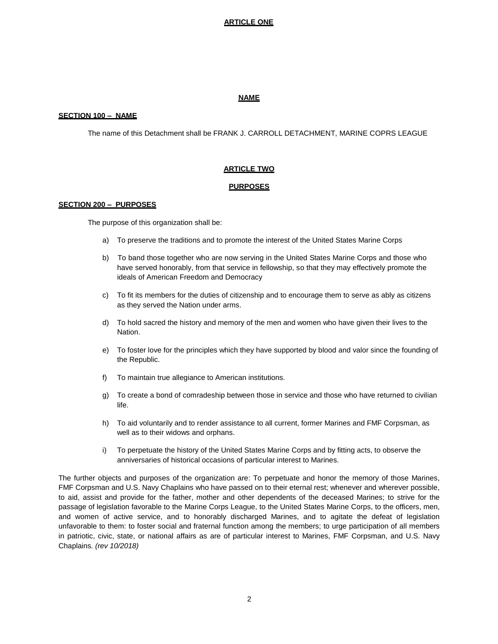#### **ARTICLE ONE**

#### **NAME**

#### **SECTION 100 – NAME**

The name of this Detachment shall be FRANK J. CARROLL DETACHMENT, MARINE COPRS LEAGUE

#### **ARTICLE TWO**

#### **PURPOSES**

#### **SECTION 200 – PURPOSES**

The purpose of this organization shall be:

- a) To preserve the traditions and to promote the interest of the United States Marine Corps
- b) To band those together who are now serving in the United States Marine Corps and those who have served honorably, from that service in fellowship, so that they may effectively promote the ideals of American Freedom and Democracy
- c) To fit its members for the duties of citizenship and to encourage them to serve as ably as citizens as they served the Nation under arms.
- d) To hold sacred the history and memory of the men and women who have given their lives to the Nation.
- e) To foster love for the principles which they have supported by blood and valor since the founding of the Republic.
- f) To maintain true allegiance to American institutions.
- g) To create a bond of comradeship between those in service and those who have returned to civilian life.
- h) To aid voluntarily and to render assistance to all current, former Marines and FMF Corpsman, as well as to their widows and orphans.
- i) To perpetuate the history of the United States Marine Corps and by fitting acts, to observe the anniversaries of historical occasions of particular interest to Marines.

The further objects and purposes of the organization are: To perpetuate and honor the memory of those Marines, FMF Corpsman and U.S. Navy Chaplains who have passed on to their eternal rest; whenever and wherever possible, to aid, assist and provide for the father, mother and other dependents of the deceased Marines; to strive for the passage of legislation favorable to the Marine Corps League, to the United States Marine Corps, to the officers, men, and women of active service, and to honorably discharged Marines, and to agitate the defeat of legislation unfavorable to them: to foster social and fraternal function among the members; to urge participation of all members in patriotic, civic, state, or national affairs as are of particular interest to Marines, FMF Corpsman, and U.S. Navy Chaplains. *(rev 10/2018)*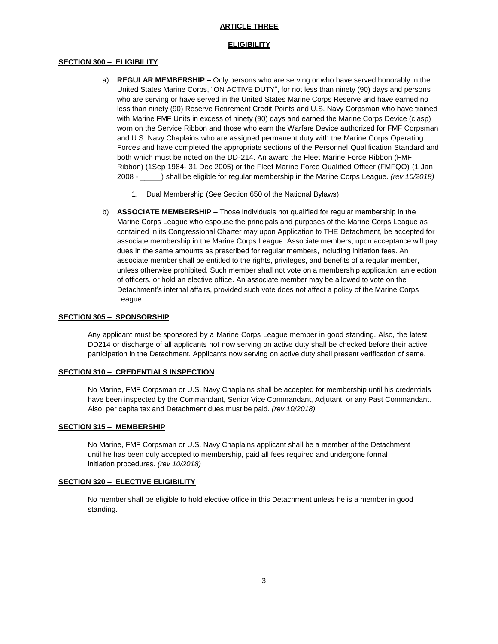#### **ARTICLE THREE**

#### **ELIGIBILITY**

#### **SECTION 300 – ELIGIBILITY**

- a) **REGULAR MEMBERSHIP** Only persons who are serving or who have served honorably in the United States Marine Corps, "ON ACTIVE DUTY", for not less than ninety (90) days and persons who are serving or have served in the United States Marine Corps Reserve and have earned no less than ninety (90) Reserve Retirement Credit Points and U.S. Navy Corpsman who have trained with Marine FMF Units in excess of ninety (90) days and earned the Marine Corps Device (clasp) worn on the Service Ribbon and those who earn the Warfare Device authorized for FMF Corpsman and U.S. Navy Chaplains who are assigned permanent duty with the Marine Corps Operating Forces and have completed the appropriate sections of the Personnel Qualification Standard and both which must be noted on the DD-214. An award the Fleet Marine Force Ribbon (FMF Ribbon) (1Sep 1984- 31 Dec 2005) or the Fleet Marine Force Qualified Officer (FMFQO) (1 Jan 2008 - \_\_\_\_\_) shall be eligible for regular membership in the Marine Corps League. *(rev 10/2018)*
	- 1. Dual Membership (See Section 650 of the National Bylaws)
- b) **ASSOCIATE MEMBERSHIP** Those individuals not qualified for regular membership in the Marine Corps League who espouse the principals and purposes of the Marine Corps League as contained in its Congressional Charter may upon Application to THE Detachment, be accepted for associate membership in the Marine Corps League. Associate members, upon acceptance will pay dues in the same amounts as prescribed for regular members, including initiation fees. An associate member shall be entitled to the rights, privileges, and benefits of a regular member, unless otherwise prohibited. Such member shall not vote on a membership application, an election of officers, or hold an elective office. An associate member may be allowed to vote on the Detachment's internal affairs, provided such vote does not affect a policy of the Marine Corps League.

#### **SECTION 305 – SPONSORSHIP**

Any applicant must be sponsored by a Marine Corps League member in good standing. Also, the latest DD214 or discharge of all applicants not now serving on active duty shall be checked before their active participation in the Detachment. Applicants now serving on active duty shall present verification of same.

#### **SECTION 310 – CREDENTIALS INSPECTION**

No Marine, FMF Corpsman or U.S. Navy Chaplains shall be accepted for membership until his credentials have been inspected by the Commandant, Senior Vice Commandant, Adjutant, or any Past Commandant. Also, per capita tax and Detachment dues must be paid. *(rev 10/2018)*

#### **SECTION 315 – MEMBERSHIP**

No Marine, FMF Corpsman or U.S. Navy Chaplains applicant shall be a member of the Detachment until he has been duly accepted to membership, paid all fees required and undergone formal initiation procedures. *(rev 10/2018)*

#### **SECTION 320 – ELECTIVE ELIGIBILITY**

No member shall be eligible to hold elective office in this Detachment unless he is a member in good standing.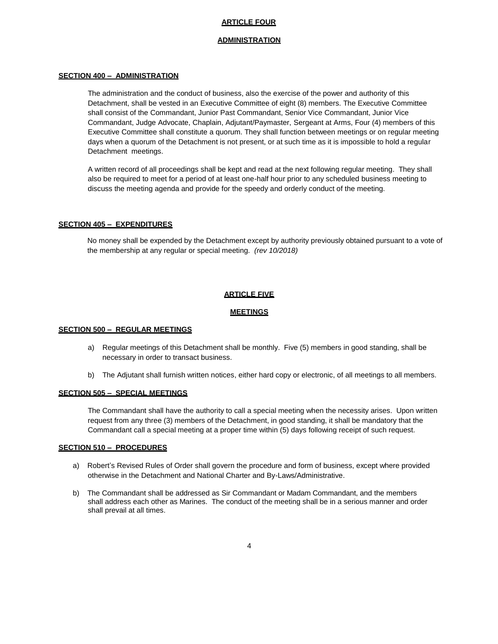#### **ARTICLE FOUR**

#### **ADMINISTRATION**

#### **SECTION 400 – ADMINISTRATION**

The administration and the conduct of business, also the exercise of the power and authority of this Detachment, shall be vested in an Executive Committee of eight (8) members. The Executive Committee shall consist of the Commandant, Junior Past Commandant, Senior Vice Commandant, Junior Vice Commandant, Judge Advocate, Chaplain, Adjutant/Paymaster, Sergeant at Arms, Four (4) members of this Executive Committee shall constitute a quorum. They shall function between meetings or on regular meeting days when a quorum of the Detachment is not present, or at such time as it is impossible to hold a regular Detachment meetings.

A written record of all proceedings shall be kept and read at the next following regular meeting. They shall also be required to meet for a period of at least one-half hour prior to any scheduled business meeting to discuss the meeting agenda and provide for the speedy and orderly conduct of the meeting.

#### **SECTION 405 – EXPENDITURES**

No money shall be expended by the Detachment except by authority previously obtained pursuant to a vote of the membership at any regular or special meeting. *(rev 10/2018)*

#### **ARTICLE FIVE**

#### **MEETINGS**

#### **SECTION 500 – REGULAR MEETINGS**

- a) Regular meetings of this Detachment shall be monthly. Five (5) members in good standing, shall be necessary in order to transact business.
- b) The Adjutant shall furnish written notices, either hard copy or electronic, of all meetings to all members.

#### **SECTION 505 – SPECIAL MEETINGS**

The Commandant shall have the authority to call a special meeting when the necessity arises. Upon written request from any three (3) members of the Detachment, in good standing, it shall be mandatory that the Commandant call a special meeting at a proper time within (5) days following receipt of such request.

#### **SECTION 510 – PROCEDURES**

- a) Robert's Revised Rules of Order shall govern the procedure and form of business, except where provided otherwise in the Detachment and National Charter and By-Laws/Administrative.
- b) The Commandant shall be addressed as Sir Commandant or Madam Commandant, and the members shall address each other as Marines. The conduct of the meeting shall be in a serious manner and order shall prevail at all times.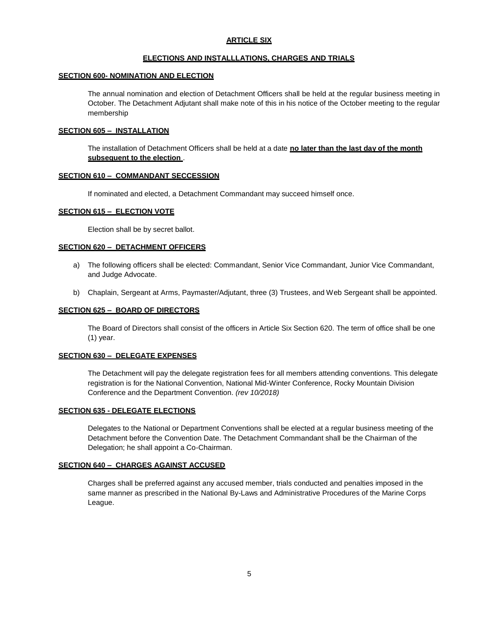#### **ARTICLE SIX**

#### **ELECTIONS AND INSTALLLATIONS, CHARGES AND TRIALS**

#### **SECTION 600- NOMINATION AND ELECTION**

The annual nomination and election of Detachment Officers shall be held at the regular business meeting in October. The Detachment Adjutant shall make note of this in his notice of the October meeting to the regular membership

#### **SECTION 605 – INSTALLATION**

The installation of Detachment Officers shall be held at a date **no later than the last day of the month subsequent to the election** .

#### **SECTION 610 – COMMANDANT SECCESSION**

If nominated and elected, a Detachment Commandant may succeed himself once.

#### **SECTION 615 – ELECTION VOTE**

Election shall be by secret ballot.

#### **SECTION 620 – DETACHMENT OFFICERS**

- a) The following officers shall be elected: Commandant, Senior Vice Commandant, Junior Vice Commandant, and Judge Advocate.
- b) Chaplain, Sergeant at Arms, Paymaster/Adjutant, three (3) Trustees, and Web Sergeant shall be appointed.

#### **SECTION 625 – BOARD OF DIRECTORS**

The Board of Directors shall consist of the officers in Article Six Section 620. The term of office shall be one (1) year.

#### **SECTION 630 – DELEGATE EXPENSES**

The Detachment will pay the delegate registration fees for all members attending conventions. This delegate registration is for the National Convention, National Mid-Winter Conference, Rocky Mountain Division Conference and the Department Convention. *(rev 10/2018)*

#### **SECTION 635 - DELEGATE ELECTIONS**

Delegates to the National or Department Conventions shall be elected at a regular business meeting of the Detachment before the Convention Date. The Detachment Commandant shall be the Chairman of the Delegation; he shall appoint a Co-Chairman.

#### **SECTION 640 – CHARGES AGAINST ACCUSED**

Charges shall be preferred against any accused member, trials conducted and penalties imposed in the same manner as prescribed in the National By-Laws and Administrative Procedures of the Marine Corps League.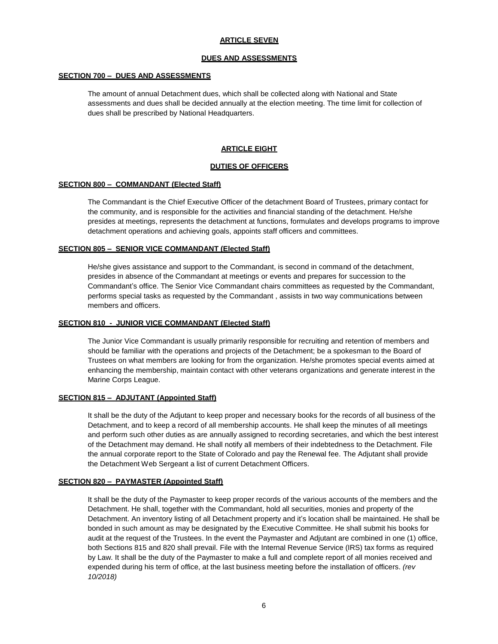#### **ARTICLE SEVEN**

#### **DUES AND ASSESSMENTS**

#### **SECTION 700 – DUES AND ASSESSMENTS**

The amount of annual Detachment dues, which shall be collected along with National and State assessments and dues shall be decided annually at the election meeting. The time limit for collection of dues shall be prescribed by National Headquarters.

#### **ARTICLE EIGHT**

#### **DUTIES OF OFFICERS**

#### **SECTION 800 – COMMANDANT (Elected Staff)**

The Commandant is the Chief Executive Officer of the detachment Board of Trustees, primary contact for the community, and is responsible for the activities and financial standing of the detachment. He/she presides at meetings, represents the detachment at functions, formulates and develops programs to improve detachment operations and achieving goals, appoints staff officers and committees.

#### **SECTION 805 – SENIOR VICE COMMANDANT (Elected Staff)**

He/she gives assistance and support to the Commandant, is second in command of the detachment, presides in absence of the Commandant at meetings or events and prepares for succession to the Commandant's office. The Senior Vice Commandant chairs committees as requested by the Commandant, performs special tasks as requested by the Commandant , assists in two way communications between members and officers.

#### **SECTION 810 - JUNIOR VICE COMMANDANT (Elected Staff)**

The Junior Vice Commandant is usually primarily responsible for recruiting and retention of members and should be familiar with the operations and projects of the Detachment; be a spokesman to the Board of Trustees on what members are looking for from the organization. He/she promotes special events aimed at enhancing the membership, maintain contact with other veterans organizations and generate interest in the Marine Corps League.

#### **SECTION 815 – ADJUTANT (Appointed Staff)**

It shall be the duty of the Adjutant to keep proper and necessary books for the records of all business of the Detachment, and to keep a record of all membership accounts. He shall keep the minutes of all meetings and perform such other duties as are annually assigned to recording secretaries, and which the best interest of the Detachment may demand. He shall notify all members of their indebtedness to the Detachment. File the annual corporate report to the State of Colorado and pay the Renewal fee. The Adjutant shall provide the Detachment Web Sergeant a list of current Detachment Officers.

#### **SECTION 820 – PAYMASTER (Appointed Staff)**

It shall be the duty of the Paymaster to keep proper records of the various accounts of the members and the Detachment. He shall, together with the Commandant, hold all securities, monies and property of the Detachment. An inventory listing of all Detachment property and it's location shall be maintained. He shall be bonded in such amount as may be designated by the Executive Committee. He shall submit his books for audit at the request of the Trustees. In the event the Paymaster and Adjutant are combined in one (1) office, both Sections 815 and 820 shall prevail. File with the Internal Revenue Service (IRS) tax forms as required by Law. It shall be the duty of the Paymaster to make a full and complete report of all monies received and expended during his term of office, at the last business meeting before the installation of officers. *(rev 10/2018)*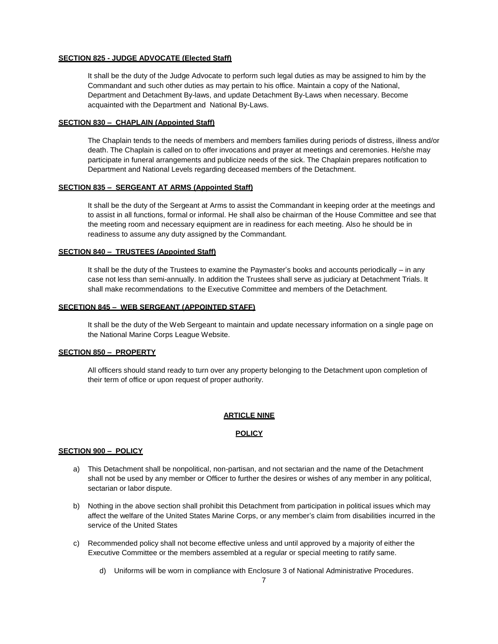#### **SECTION 825 - JUDGE ADVOCATE (Elected Staff)**

It shall be the duty of the Judge Advocate to perform such legal duties as may be assigned to him by the Commandant and such other duties as may pertain to his office. Maintain a copy of the National, Department and Detachment By-laws, and update Detachment By-Laws when necessary. Become acquainted with the Department and National By-Laws.

#### **SECTION 830 – CHAPLAIN (Appointed Staff)**

The Chaplain tends to the needs of members and members families during periods of distress, illness and/or death. The Chaplain is called on to offer invocations and prayer at meetings and ceremonies. He/she may participate in funeral arrangements and publicize needs of the sick. The Chaplain prepares notification to Department and National Levels regarding deceased members of the Detachment.

#### **SECTION 835 – SERGEANT AT ARMS (Appointed Staff)**

It shall be the duty of the Sergeant at Arms to assist the Commandant in keeping order at the meetings and to assist in all functions, formal or informal. He shall also be chairman of the House Committee and see that the meeting room and necessary equipment are in readiness for each meeting. Also he should be in readiness to assume any duty assigned by the Commandant.

#### **SECTION 840 – TRUSTEES (Appointed Staff)**

It shall be the duty of the Trustees to examine the Paymaster's books and accounts periodically – in any case not less than semi-annually. In addition the Trustees shall serve as judiciary at Detachment Trials. It shall make recommendations to the Executive Committee and members of the Detachment.

#### **SECETION 845 – WEB SERGEANT (APPOINTED STAFF)**

It shall be the duty of the Web Sergeant to maintain and update necessary information on a single page on the National Marine Corps League Website.

#### **SECTION 850 – PROPERTY**

All officers should stand ready to turn over any property belonging to the Detachment upon completion of their term of office or upon request of proper authority.

#### **ARTICLE NINE**

#### **POLICY**

#### **SECTION 900 – POLICY**

- a) This Detachment shall be nonpolitical, non-partisan, and not sectarian and the name of the Detachment shall not be used by any member or Officer to further the desires or wishes of any member in any political, sectarian or labor dispute.
- b) Nothing in the above section shall prohibit this Detachment from participation in political issues which may affect the welfare of the United States Marine Corps, or any member's claim from disabilities incurred in the service of the United States
- c) Recommended policy shall not become effective unless and until approved by a majority of either the Executive Committee or the members assembled at a regular or special meeting to ratify same.
	- d) Uniforms will be worn in compliance with Enclosure 3 of National Administrative Procedures.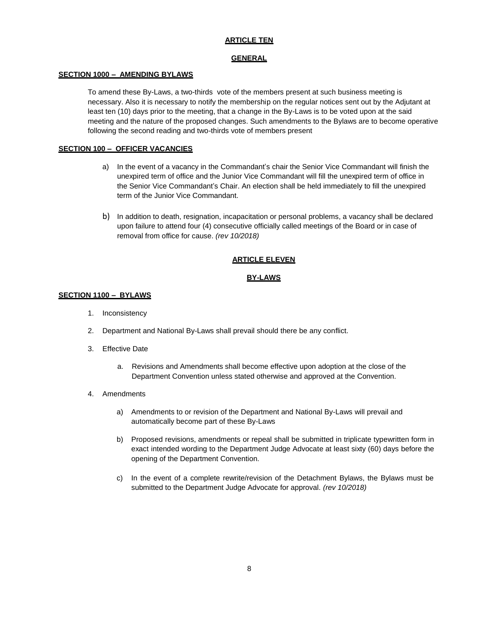#### **ARTICLE TEN**

#### **GENERAL**

#### **SECTION 1000 – AMENDING BYLAWS**

To amend these By-Laws, a two-thirds vote of the members present at such business meeting is necessary. Also it is necessary to notify the membership on the regular notices sent out by the Adjutant at least ten (10) days prior to the meeting, that a change in the By-Laws is to be voted upon at the said meeting and the nature of the proposed changes. Such amendments to the Bylaws are to become operative following the second reading and two-thirds vote of members present

#### **SECTION 100 – OFFICER VACANCIES**

- a) In the event of a vacancy in the Commandant's chair the Senior Vice Commandant will finish the unexpired term of office and the Junior Vice Commandant will fill the unexpired term of office in the Senior Vice Commandant's Chair. An election shall be held immediately to fill the unexpired term of the Junior Vice Commandant.
- b) In addition to death, resignation, incapacitation or personal problems, a vacancy shall be declared upon failure to attend four (4) consecutive officially called meetings of the Board or in case of removal from office for cause. *(rev 10/2018)*

#### **ARTICLE ELEVEN**

#### **BY-LAWS**

#### **SECTION 1100 – BYLAWS**

- 1. Inconsistency
- 2. Department and National By-Laws shall prevail should there be any conflict.
- 3. Effective Date
	- a. Revisions and Amendments shall become effective upon adoption at the close of the Department Convention unless stated otherwise and approved at the Convention.
- 4. Amendments
	- a) Amendments to or revision of the Department and National By-Laws will prevail and automatically become part of these By-Laws
	- b) Proposed revisions, amendments or repeal shall be submitted in triplicate typewritten form in exact intended wording to the Department Judge Advocate at least sixty (60) days before the opening of the Department Convention.
	- c) In the event of a complete rewrite/revision of the Detachment Bylaws, the Bylaws must be submitted to the Department Judge Advocate for approval. *(rev 10/2018)*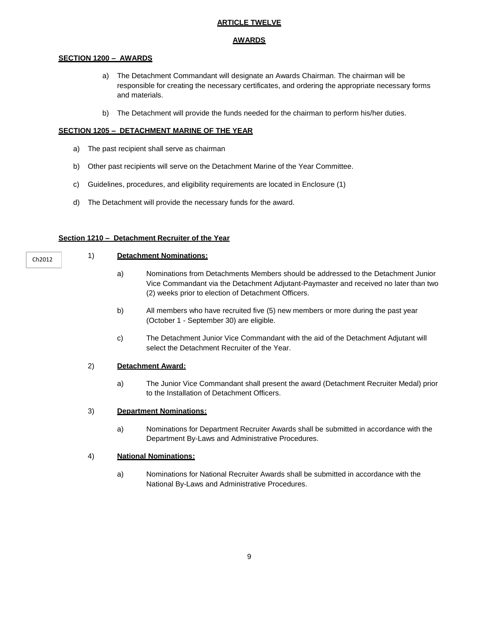#### **ARTICLE TWELVE**

#### **AWARDS**

#### **SECTION 1200 – AWARDS**

- a) The Detachment Commandant will designate an Awards Chairman. The chairman will be responsible for creating the necessary certificates, and ordering the appropriate necessary forms and materials.
- b) The Detachment will provide the funds needed for the chairman to perform his/her duties.

#### **SECTION 1205 – DETACHMENT MARINE OF THE YEAR**

- a) The past recipient shall serve as chairman
- b) Other past recipients will serve on the Detachment Marine of the Year Committee.
- c) Guidelines, procedures, and eligibility requirements are located in Enclosure (1)
- d) The Detachment will provide the necessary funds for the award.

#### **Section 1210 – Detachment Recruiter of the Year**

#### Ch2012

1) **Detachment Nominations:**

- a) Nominations from Detachments Members should be addressed to the Detachment Junior Vice Commandant via the Detachment Adjutant-Paymaster and received no later than two (2) weeks prior to election of Detachment Officers.
- b) All members who have recruited five (5) new members or more during the past year (October 1 - September 30) are eligible.
- c) The Detachment Junior Vice Commandant with the aid of the Detachment Adjutant will select the Detachment Recruiter of the Year.

#### 2) **Detachment Award:**

a) The Junior Vice Commandant shall present the award (Detachment Recruiter Medal) prior to the Installation of Detachment Officers.

#### 3) **Department Nominations:**

a) Nominations for Department Recruiter Awards shall be submitted in accordance with the Department By-Laws and Administrative Procedures.

#### 4) **National Nominations:**

a) Nominations for National Recruiter Awards shall be submitted in accordance with the National By-Laws and Administrative Procedures.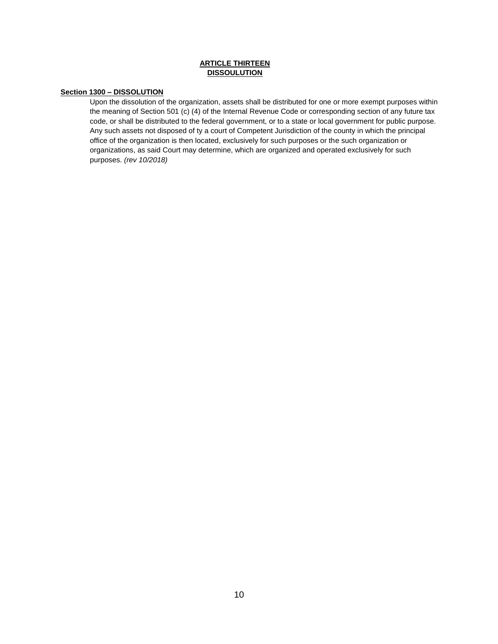#### **ARTICLE THIRTEEN DISSOULUTION**

#### **Section 1300 – DISSOLUTION**

Upon the dissolution of the organization, assets shall be distributed for one or more exempt purposes within the meaning of Section 501 (c) (4) of the Internal Revenue Code or corresponding section of any future tax code, or shall be distributed to the federal government, or to a state or local government for public purpose. Any such assets not disposed of ty a court of Competent Jurisdiction of the county in which the principal office of the organization is then located, exclusively for such purposes or the such organization or organizations, as said Court may determine, which are organized and operated exclusively for such purposes. *(rev 10/2018)*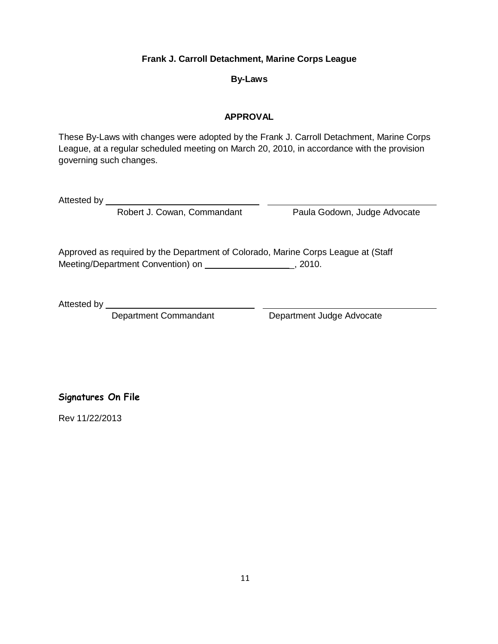## **Frank J. Carroll Detachment, Marine Corps League**

## **By-Laws**

## **APPROVAL**

These By-Laws with changes were adopted by the Frank J. Carroll Detachment, Marine Corps League, at a regular scheduled meeting on March 20, 2010, in accordance with the provision governing such changes.

Attested by \_\_

Robert J. Cowan, Commandant Paula Godown, Judge Advocate

Approved as required by the Department of Colorado, Marine Corps League at (Staff Meeting/Department Convention) on \_, 2010.

Attested by \_\_

Department Commandant Department Judge Advocate

**Signatures On File**

Rev 11/22/2013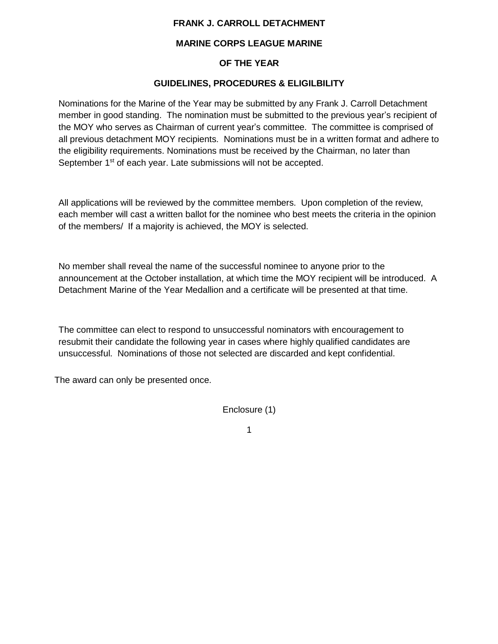## **FRANK J. CARROLL DETACHMENT**

## **MARINE CORPS LEAGUE MARINE**

## **OF THE YEAR**

## **GUIDELINES, PROCEDURES & ELIGILBILITY**

Nominations for the Marine of the Year may be submitted by any Frank J. Carroll Detachment member in good standing. The nomination must be submitted to the previous year's recipient of the MOY who serves as Chairman of current year's committee. The committee is comprised of all previous detachment MOY recipients. Nominations must be in a written format and adhere to the eligibility requirements. Nominations must be received by the Chairman, no later than September 1<sup>st</sup> of each year. Late submissions will not be accepted.

All applications will be reviewed by the committee members. Upon completion of the review, each member will cast a written ballot for the nominee who best meets the criteria in the opinion of the members/ If a majority is achieved, the MOY is selected.

No member shall reveal the name of the successful nominee to anyone prior to the announcement at the October installation, at which time the MOY recipient will be introduced. A Detachment Marine of the Year Medallion and a certificate will be presented at that time.

The committee can elect to respond to unsuccessful nominators with encouragement to resubmit their candidate the following year in cases where highly qualified candidates are unsuccessful. Nominations of those not selected are discarded and kept confidential.

The award can only be presented once.

Enclosure (1)

1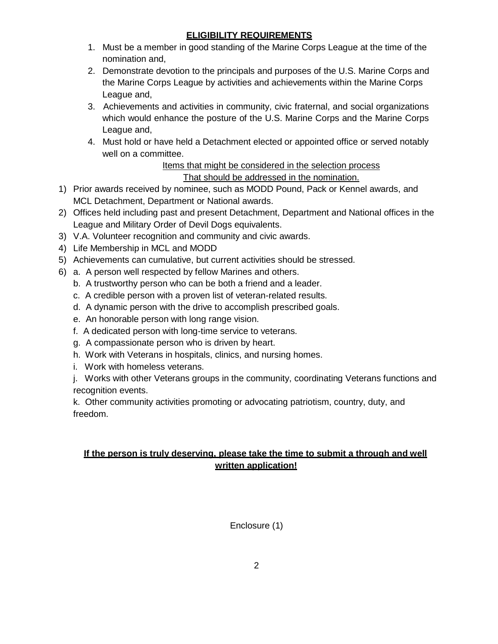## **ELIGIBILITY REQUIREMENTS**

- 1. Must be a member in good standing of the Marine Corps League at the time of the nomination and,
- 2. Demonstrate devotion to the principals and purposes of the U.S. Marine Corps and the Marine Corps League by activities and achievements within the Marine Corps League and,
- 3. Achievements and activities in community, civic fraternal, and social organizations which would enhance the posture of the U.S. Marine Corps and the Marine Corps League and,
- 4. Must hold or have held a Detachment elected or appointed office or served notably well on a committee.

## Items that might be considered in the selection process That should be addressed in the nomination.

- 1) Prior awards received by nominee, such as MODD Pound, Pack or Kennel awards, and MCL Detachment, Department or National awards.
- 2) Offices held including past and present Detachment, Department and National offices in the League and Military Order of Devil Dogs equivalents.
- 3) V.A. Volunteer recognition and community and civic awards.
- 4) Life Membership in MCL and MODD
- 5) Achievements can cumulative, but current activities should be stressed.
- 6) a. A person well respected by fellow Marines and others.
	- b. A trustworthy person who can be both a friend and a leader.
	- c. A credible person with a proven list of veteran-related results.
	- d. A dynamic person with the drive to accomplish prescribed goals.
	- e. An honorable person with long range vision.
	- f. A dedicated person with long-time service to veterans.
	- g. A compassionate person who is driven by heart.
	- h. Work with Veterans in hospitals, clinics, and nursing homes.
	- i. Work with homeless veterans.

j. Works with other Veterans groups in the community, coordinating Veterans functions and recognition events.

k. Other community activities promoting or advocating patriotism, country, duty, and freedom.

## **If the person is truly deserving, please take the time to submit a through and well written application!**

Enclosure (1)